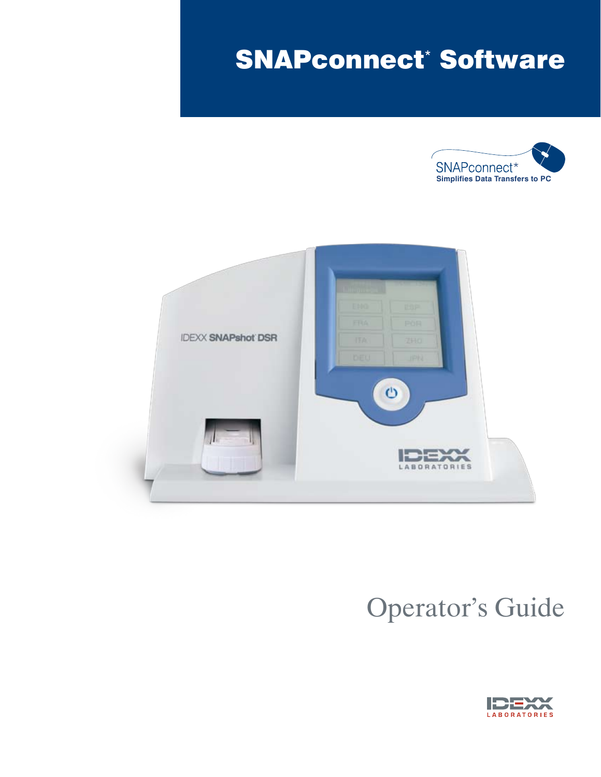# SNAPconnect\* Software





# Operator's Guide

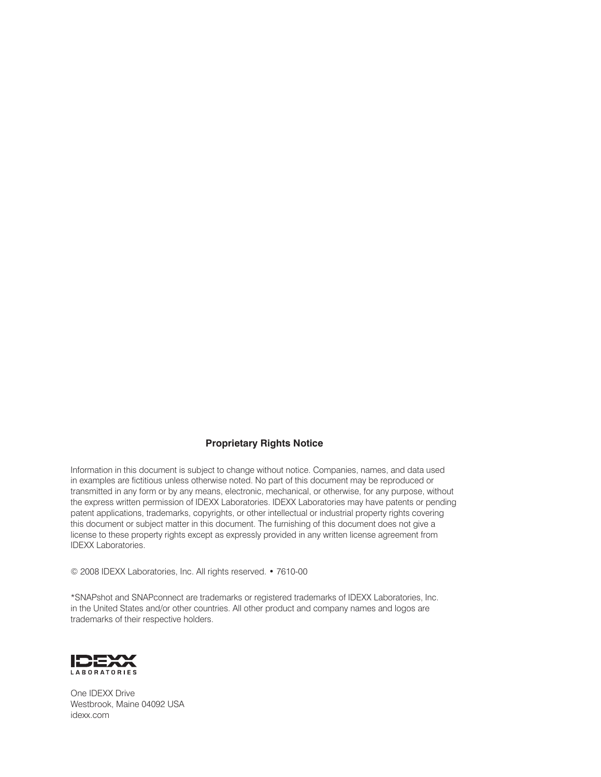#### **Proprietary Rights Notice**

Information in this document is subject to change without notice. Companies, names, and data used in examples are fictitious unless otherwise noted. No part of this document may be reproduced or transmitted in any form or by any means, electronic, mechanical, or otherwise, for any purpose, without the express written permission of IDEXX Laboratories. IDEXX Laboratories may have patents or pending patent applications, trademarks, copyrights, or other intellectual or industrial property rights covering this document or subject matter in this document. The furnishing of this document does not give a license to these property rights except as expressly provided in any written license agreement from IDEXX Laboratories.

© 2008 IDEXX Laboratories, Inc. All rights reserved. • 7610-00

\*SNAPshot and SNAPconnect are trademarks or registered trademarks of IDEXX Laboratories, Inc. in the United States and/or other countries. All other product and company names and logos are trademarks of their respective holders.



One IDEXX Drive Westbrook, Maine 04092 USA idexx.com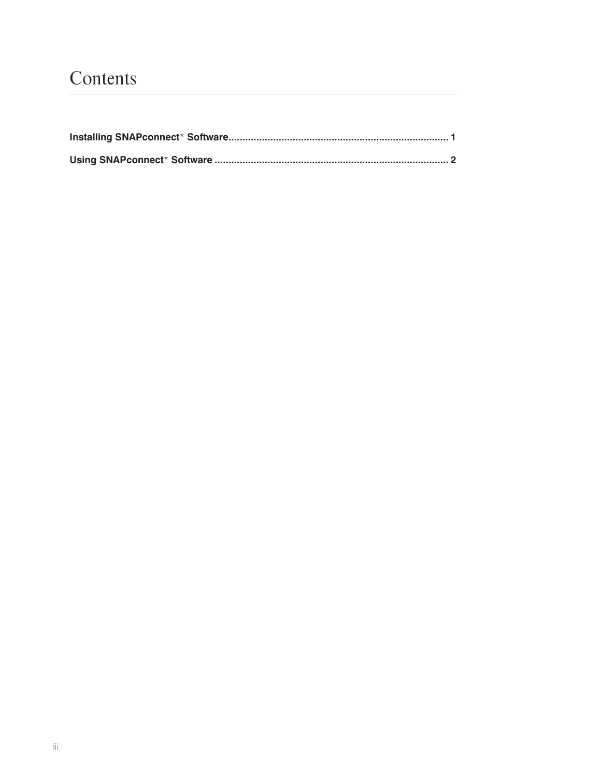# Contents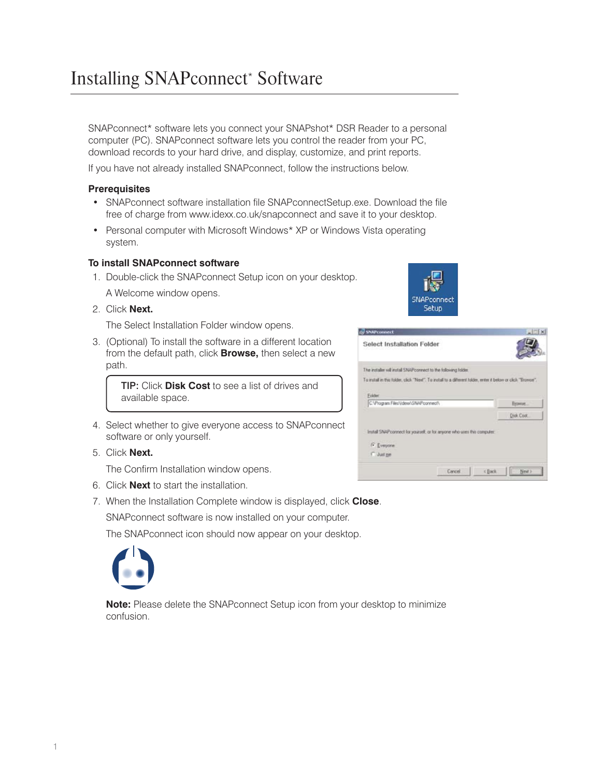SNAPconnect\* software lets you connect your SNAPshot\* DSR Reader to a personal computer (PC). SNAPconnect software lets you control the reader from your PC, download records to your hard drive, and display, customize, and print reports.

If you have not already installed SNAPconnect, follow the instructions below.

# **Prerequisites**

- SNAPconnect software installation file SNAPconnectSetup.exe. Download the file free of charge from www.idexx.co.uk/snapconnect and save it to your desktop.
- Personal computer with Microsoft Windows\* XP or Windows Vista operating system.

#### **To install SNAPconnect software**

- 1. Double-click the SNAPconnect Setup icon on your desktop. A Welcome window opens.
- 2. Click **Next.**

The Select Installation Folder window opens.

3. (Optional) To install the software in a different location from the default path, click **Browse,** then select a new path.

> TIP: Click **Disk Cost** to see a list of drives and available space.

- 4. Select whether to give everyone access to SNAPconnect software or only yourself.
- 5. Click **Next.**

The Confirm Installation window opens.

- 6. Click **Next** to start the installation.
- 7. When the Installation Complete window is displayed, click **Close**.

SNAPconnect software is now installed on your computer.

The SNAPconnect icon should now appear on your desktop.



**Note:** Please delete the SNAPconnect Setup icon from your desktop to minimize confusion.



| <b>SNAPconnect</b>                                                                                          |        |        |           |
|-------------------------------------------------------------------------------------------------------------|--------|--------|-----------|
| Select Installation Folder                                                                                  |        |        |           |
| The installer will install SNAP connect to the following folder.                                            |        |        |           |
| To mitall in this folder, click "Next". To install to a different tolder, enter it below or click "Snower". |        |        |           |
| Folder                                                                                                      |        |        |           |
| C. Vhogram Files/Ideo/GNAPconnect/                                                                          |        |        | Bytween.  |
|                                                                                                             |        |        | Dick Cost |
| Install SNAP connect for yourself, or for anyone who uses this computer.<br>G Everyone<br>5 Just ne         |        |        |           |
|                                                                                                             | Cancel | « Back | Next >    |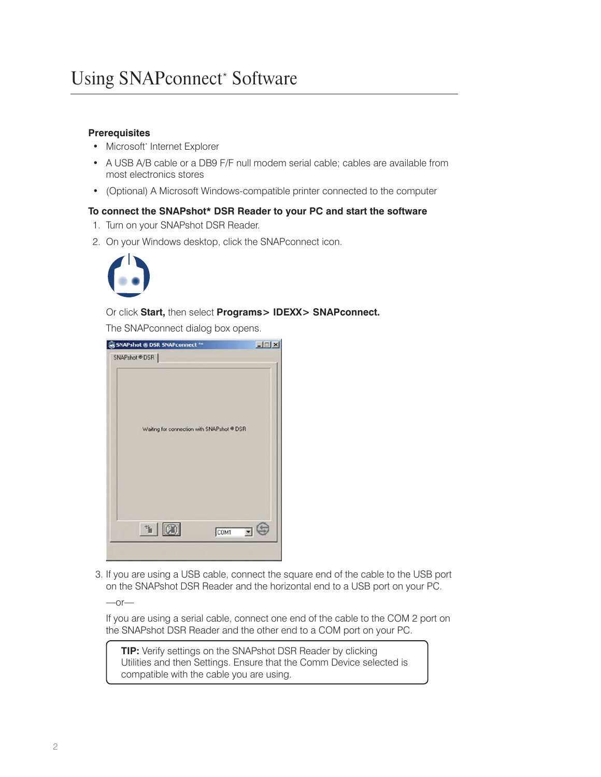# **Prerequisites**

- Microsoft\* Internet Explorer
- A USB A/B cable or a DB9 F/F null modem serial cable; cables are available from most electronics stores
- (Optional) A Microsoft Windows-compatible printer connected to the computer

#### **To connect the SNAPshot\* DSR Reader to your PC and start the software**

- 1. Turn on your SNAPshot DSR Reader.
- 2. On your Windows desktop, click the SNAPconnect icon.



### Or click **Start,** then select **Programs> IDEXX> SNAPconnect.**

The SNAPconnect dialog box opens.

| SNAPshot ® DSR SNAPconnect ™<br>SNAPshot ® DSR | $ \Box$ $\times$ |
|------------------------------------------------|------------------|
| Waiting for connection with SNAPshot ® DSR     |                  |
| $\mathbb{Z}$                                   | \$<br>COM1       |

 3. If you are using a USB cable, connect the square end of the cable to the USB port on the SNAPshot DSR Reader and the horizontal end to a USB port on your PC.

 $-$ or $-$ 

If you are using a serial cable, connect one end of the cable to the COM 2 port on the SNAPshot DSR Reader and the other end to a COM port on your PC.

**TIP:** Verify settings on the SNAPshot DSR Reader by clicking Utilities and then Settings. Ensure that the Comm Device selected is compatible with the cable you are using.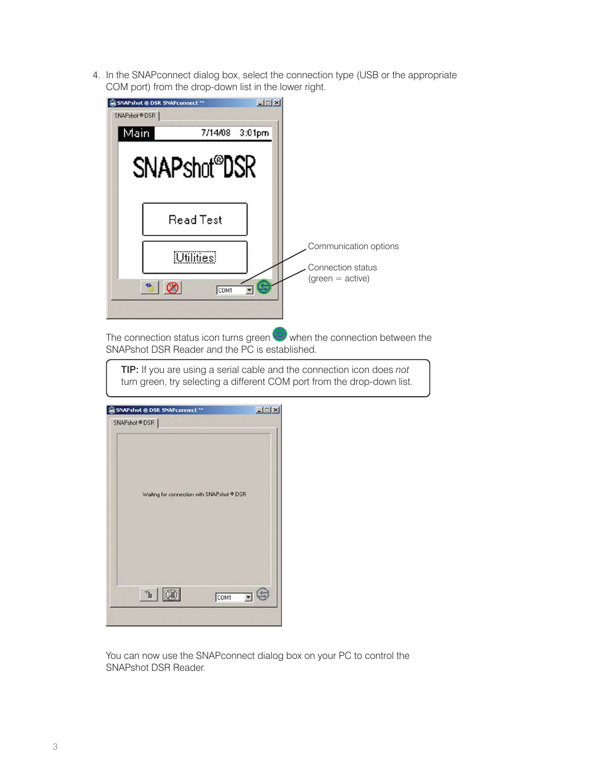4. In the SNAPconnect dialog box, select the connection type (USB or the appropriate COM port) from the drop-down list in the lower right.

| $  $ $\Box$   $\times$<br><b>NAPshot ® DSR SNAPconnect ™</b><br>SNAPshot ® DSR |                                                                  |
|--------------------------------------------------------------------------------|------------------------------------------------------------------|
| Main<br>7/14/08<br>$3:01$ pm<br>SNAPshot <sup>®</sup> DSR                      |                                                                  |
| <b>Read Test</b><br>Utilities!<br>COM1                                         | Communication options<br>Connection status<br>$(green = active)$ |

The connection status icon turns green  $\blacktriangleright$  when the connection between the SNAPshot DSR Reader and the PC is established.

TIP: If you are using a serial cable and the connection icon does *not* turn green, try selecting a different COM port from the drop-down list.

| SNAPshot ® DSR SNAPconnect ™               |      | $-1$ $-1$ $\times$ |
|--------------------------------------------|------|--------------------|
| SNAPshot ® DSR                             |      |                    |
| Waiting for connection with SNAPshot ® DSR |      |                    |
| $\mathbb{Z}$                               | COM1 | ٤                  |

You can now use the SNAPconnect dialog box on your PC to control the SNAPshot DSR Reader.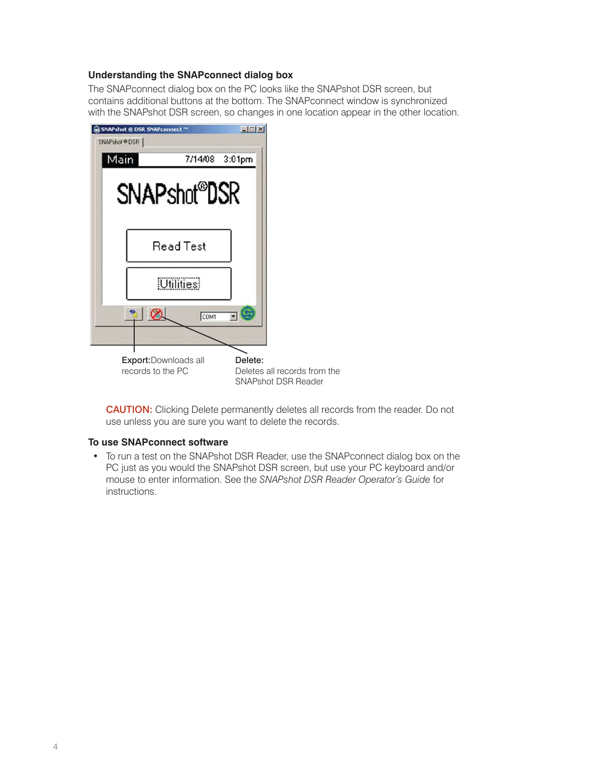# **Understanding the SNAPconnect dialog box**

The SNAPconnect dialog box on the PC looks like the SNAPshot DSR screen, but contains additional buttons at the bottom. The SNAPconnect window is synchronized with the SNAPshot DSR screen, so changes in one location appear in the other location.



SNAPshot DSR Reader

CAUTION: Clicking Delete permanently deletes all records from the reader. Do not use unless you are sure you want to delete the records.

# **To use SNAPconnect software**

• To run a test on the SNAPshot DSR Reader, use the SNAPconnect dialog box on the PC just as you would the SNAPshot DSR screen, but use your PC keyboard and/or mouse to enter information. See the *SNAPshot DSR Reader Operator's Guide* for instructions.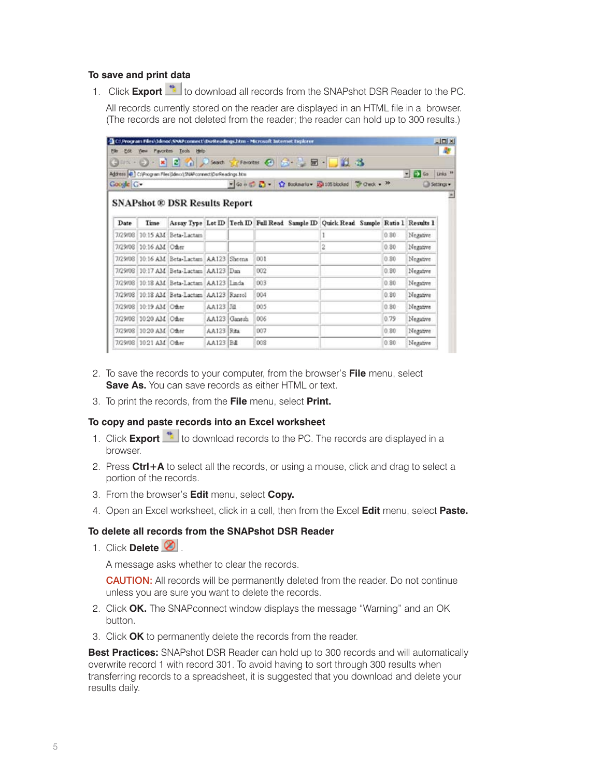# **To save and print data**

1. Click **Export** to download all records from the SNAPshot DSR Reader to the PC.

All records currently stored on the reader are displayed in an HTML file in a browser. (The records are not deleted from the reader; the reader can hold up to 300 results.)

|           |                        |                                                               |            |              | C:\Program Files\Jdess\SNAPconnect\DsrReadings.htm - Microsoft Internet Explorer |  |                                                                                           |       |                                          | $-10x$     |
|-----------|------------------------|---------------------------------------------------------------|------------|--------------|----------------------------------------------------------------------------------|--|-------------------------------------------------------------------------------------------|-------|------------------------------------------|------------|
| File      |                        | Edit Yew Favorites Tools Help                                 |            |              |                                                                                  |  |                                                                                           |       |                                          | æ          |
|           |                        |                                                               |            |              |                                                                                  |  | GEK → → R 2 个 P Search greenester ④ G → → B → D 段 名                                       |       |                                          |            |
|           |                        | Address 4 C:\Program Files\Jdexx\12NAPconnect\DsrReadings.htm |            |              |                                                                                  |  |                                                                                           |       | $=$ $\Rightarrow$ Go Links <sup>39</sup> |            |
| Coogle C- |                        |                                                               |            |              |                                                                                  |  | ▼Go + D D → ☆ Bookmarks > SuitSblocked → Oreck + <sup>39</sup>                            |       |                                          | Settings = |
|           |                        | <b>SNAPshot ® DSR Results Report</b>                          |            |              |                                                                                  |  |                                                                                           |       |                                          |            |
| Date      | Time                   |                                                               |            |              |                                                                                  |  | Assay Type Lot ID   Tech ID Full Read Sample ID   Quick Read Sample   Ratio 1   Results 1 |       |                                          |            |
| 7/29/08   |                        | 10:15 AM Beta-Lactam                                          |            |              |                                                                                  |  |                                                                                           | 0.80. | Negative                                 |            |
| 7/29/08   | 10:16 AM Other         |                                                               |            |              |                                                                                  |  | 2                                                                                         | 0.80  | Negative                                 |            |
| 7/29/08   |                        | 10:16 AM Beta-Lactam AA123 Sheena                             |            |              | 001                                                                              |  |                                                                                           | 0.80  | Negative                                 |            |
| 7/29/08   |                        | 10:17 AM Beta-Lactam AA123 Dan                                |            |              | 002                                                                              |  |                                                                                           | 0.80  | Negative                                 |            |
| 7/29/08   |                        | 10:18 AM Beta-Lactam AA123 Linda                              |            |              | 003                                                                              |  |                                                                                           | 0.80  | Negative                                 |            |
| 7/29/08   |                        | 10.18 AM Beta-Lactam AA123 Rassol                             |            |              | 004                                                                              |  |                                                                                           | 0.80  | Negative                                 |            |
| 7/29/08   | 10:19 AM Other         |                                                               | AA123 Jill |              | 005                                                                              |  |                                                                                           | 0.80  | Negative                                 |            |
| 7/29/08   | 10.20 AM Other         |                                                               |            | AA123 Ganesh | 006                                                                              |  |                                                                                           | 0.79  | Negative                                 |            |
| 7/29/08   | 10:20 AM Other         |                                                               | AA123 Rata |              | 007                                                                              |  |                                                                                           | 0.80  | Negative                                 |            |
|           | 7/29/08 10:21 AM Other |                                                               | AA123 B&   |              | 008                                                                              |  |                                                                                           | 0.80  | Negative                                 |            |

- 2. To save the records to your computer, from the browser's **File** menu, select **Save As.** You can save records as either HTML or text.
- 3. To print the records, from the **File** menu, select **Print.**

### **To copy and paste records into an Excel worksheet**

- 1. Click **Export** to download records to the PC. The records are displayed in a browser.
- 2. Press **Ctrl+A** to select all the records, or using a mouse, click and drag to select a portion of the records.
- 3. From the browser's **Edit** menu, select **Copy.**
- 4. Open an Excel worksheet, click in a cell, then from the Excel **Edit** menu, select **Paste.**

# **To delete all records from the SNAPshot DSR Reader**

1. Click **Delete 2.** 

A message asks whether to clear the records.

CAUTION: All records will be permanently deleted from the reader. Do not continue unless you are sure you want to delete the records.

- 2. Click **OK.** The SNAPconnect window displays the message "Warning" and an OK button.
- 3. Click **OK** to permanently delete the records from the reader.

**Best Practices:** SNAPshot DSR Reader can hold up to 300 records and will automatically overwrite record 1 with record 301. To avoid having to sort through 300 results when transferring records to a spreadsheet, it is suggested that you download and delete your results daily.